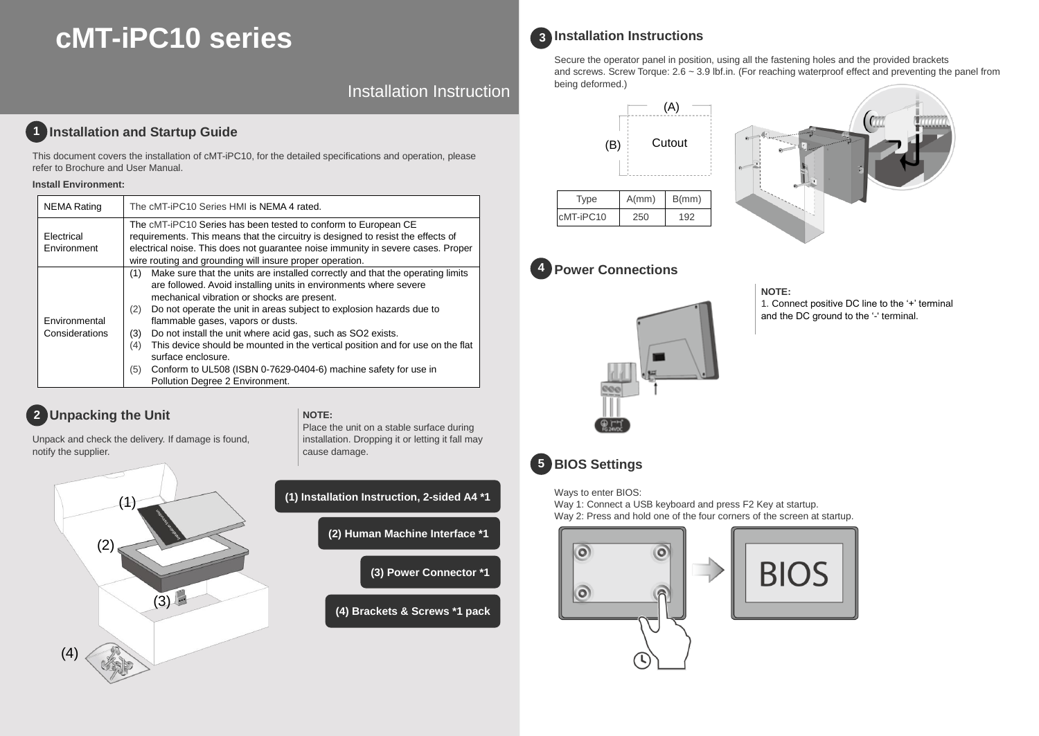# **cMT-iPC10 series**

Installation Instruction

# **1** Installation and Startup Guide

This document covers the installation of cMT-iPC10, for the detailed specifications and operation, please refer to Brochure and User Manual.

### **Install Environment:**

| <b>NEMA Rating</b>              | The cMT-iPC10 Series HMI is NEMA 4 rated.                                                                                                                                                                                                                                                                                                                                                                                                                                                                                                                                                                                       |
|---------------------------------|---------------------------------------------------------------------------------------------------------------------------------------------------------------------------------------------------------------------------------------------------------------------------------------------------------------------------------------------------------------------------------------------------------------------------------------------------------------------------------------------------------------------------------------------------------------------------------------------------------------------------------|
| Electrical<br>Environment       | The cMT-iPC10 Series has been tested to conform to European CE<br>requirements. This means that the circuitry is designed to resist the effects of<br>electrical noise. This does not quarantee noise immunity in severe cases. Proper<br>wire routing and grounding will insure proper operation.                                                                                                                                                                                                                                                                                                                              |
| Environmental<br>Considerations | Make sure that the units are installed correctly and that the operating limits<br>(1)<br>are followed. Avoid installing units in environments where severe<br>mechanical vibration or shocks are present.<br>Do not operate the unit in areas subject to explosion hazards due to<br>(2)<br>flammable gases, vapors or dusts.<br>Do not install the unit where acid gas, such as SO2 exists.<br>(3)<br>This device should be mounted in the vertical position and for use on the flat<br>(4)<br>surface enclosure.<br>Conform to UL508 (ISBN 0-7629-0404-6) machine safety for use in<br>(5)<br>Pollution Degree 2 Environment. |

# **Unpacking the Unit 2**

**NOTE:**  Place the unit on a stable surface during

Unpack and check the delivery. If damage is found, notify the supplier.



| (1) Installation Instruction, 2-sided A4 *1 |
|---------------------------------------------|
| (2) Human Machine Interface *1              |
| (3) Power Connector *1                      |
| (4) Brackets & Screws *1 pack               |
|                                             |

installation. Dropping it or letting it fall may

cause damage.

## **Installation Instructions 3**

Secure the operator panel in position, using all the fastening holes and the provided brackets and screws. Screw Torque: 2.6 ~ 3.9 lbf.in. (For reaching waterproof effect and preventing the panel from being deformed.)





#### **Power Connections 4**



# **NOTE:**

1. Connect positive DC line to the '+' terminal and the DC ground to the '-' terminal.



Ways to enter BIOS:

Way 1: Connect a USB keyboard and press F2 Key at startup. Way 2: Press and hold one of the four corners of the screen at startup.